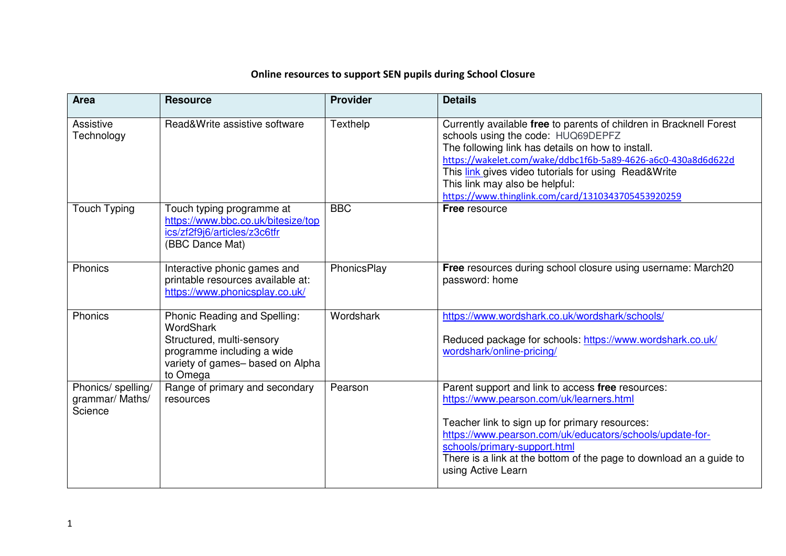## **Online resources to support SEN pupils during School Closure**

| <b>Area</b>                                      | <b>Resource</b>                                                                                                                                            | <b>Provider</b> | <b>Details</b>                                                                                                                                                                                                                                                                                                                                                                  |
|--------------------------------------------------|------------------------------------------------------------------------------------------------------------------------------------------------------------|-----------------|---------------------------------------------------------------------------------------------------------------------------------------------------------------------------------------------------------------------------------------------------------------------------------------------------------------------------------------------------------------------------------|
| Assistive<br>Technology                          | Read&Write assistive software                                                                                                                              | Texthelp        | Currently available free to parents of children in Bracknell Forest<br>schools using the code: HUQ69DEPFZ<br>The following link has details on how to install.<br>https://wakelet.com/wake/ddbc1f6b-5a89-4626-a6c0-430a8d6d622d<br>This link gives video tutorials for using Read&Write<br>This link may also be helpful:<br>https://www.thinglink.com/card/1310343705453920259 |
| <b>Touch Typing</b>                              | Touch typing programme at<br>https://www.bbc.co.uk/bitesize/top<br>ics/zf2f9j6/articles/z3c6tfr<br>(BBC Dance Mat)                                         | <b>BBC</b>      | <b>Free resource</b>                                                                                                                                                                                                                                                                                                                                                            |
| Phonics                                          | Interactive phonic games and<br>printable resources available at:<br>https://www.phonicsplay.co.uk/                                                        | PhonicsPlay     | Free resources during school closure using username: March20<br>password: home                                                                                                                                                                                                                                                                                                  |
| Phonics                                          | Phonic Reading and Spelling:<br><b>WordShark</b><br>Structured, multi-sensory<br>programme including a wide<br>variety of games-based on Alpha<br>to Omega | Wordshark       | https://www.wordshark.co.uk/wordshark/schools/<br>Reduced package for schools: https://www.wordshark.co.uk/<br>wordshark/online-pricing/                                                                                                                                                                                                                                        |
| Phonics/ spelling/<br>grammar/ Maths/<br>Science | Range of primary and secondary<br>resources                                                                                                                | Pearson         | Parent support and link to access free resources:<br>https://www.pearson.com/uk/learners.html<br>Teacher link to sign up for primary resources:<br>https://www.pearson.com/uk/educators/schools/update-for-<br>schools/primary-support.html<br>There is a link at the bottom of the page to download an a guide to<br>using Active Learn                                        |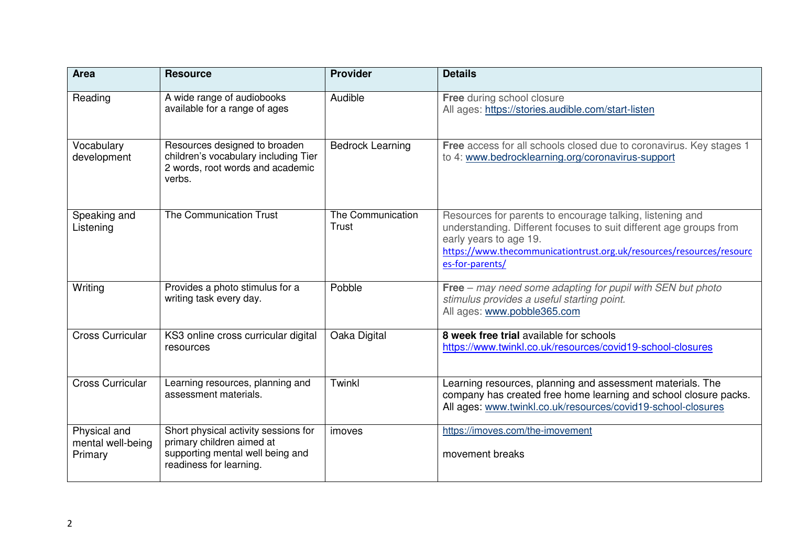| <b>Area</b>                                  | <b>Resource</b>                                                                                                                  | <b>Provider</b>            | <b>Details</b>                                                                                                                                                                                                                                       |
|----------------------------------------------|----------------------------------------------------------------------------------------------------------------------------------|----------------------------|------------------------------------------------------------------------------------------------------------------------------------------------------------------------------------------------------------------------------------------------------|
| Reading                                      | A wide range of audiobooks<br>available for a range of ages                                                                      | Audible                    | Free during school closure<br>All ages: https://stories.audible.com/start-listen                                                                                                                                                                     |
| Vocabulary<br>development                    | Resources designed to broaden<br>children's vocabulary including Tier<br>2 words, root words and academic<br>verbs.              | <b>Bedrock Learning</b>    | Free access for all schools closed due to coronavirus. Key stages 1<br>to 4: www.bedrocklearning.org/coronavirus-support                                                                                                                             |
| Speaking and<br>Listening                    | The Communication Trust                                                                                                          | The Communication<br>Trust | Resources for parents to encourage talking, listening and<br>understanding. Different focuses to suit different age groups from<br>early years to age 19.<br>https://www.thecommunicationtrust.org.uk/resources/resources/resourc<br>es-for-parents/ |
| Writing                                      | Provides a photo stimulus for a<br>writing task every day.                                                                       | Pobble                     | Free - may need some adapting for pupil with SEN but photo<br>stimulus provides a useful starting point.<br>All ages: www.pobble365.com                                                                                                              |
| <b>Cross Curricular</b>                      | KS3 online cross curricular digital<br>resources                                                                                 | Oaka Digital               | 8 week free trial available for schools<br>https://www.twinkl.co.uk/resources/covid19-school-closures                                                                                                                                                |
| <b>Cross Curricular</b>                      | Learning resources, planning and<br>assessment materials.                                                                        | Twinkl                     | Learning resources, planning and assessment materials. The<br>company has created free home learning and school closure packs.<br>All ages: www.twinkl.co.uk/resources/covid19-school-closures                                                       |
| Physical and<br>mental well-being<br>Primary | Short physical activity sessions for<br>primary children aimed at<br>supporting mental well being and<br>readiness for learning. | imoves                     | https://imoves.com/the-imovement<br>movement breaks                                                                                                                                                                                                  |